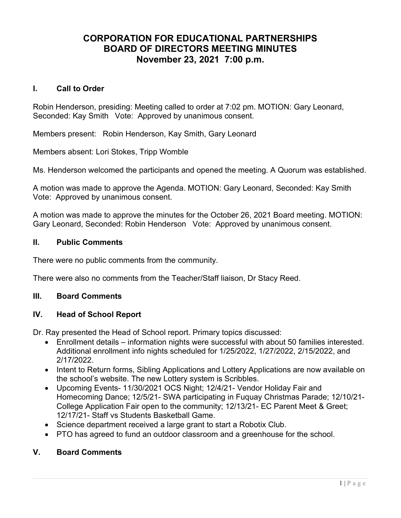# CORPORATION FOR EDUCATIONAL PARTNERSHIPS BOARD OF DIRECTORS MEETING MINUTES November 23, 2021 7:00 p.m.

## I. Call to Order

Robin Henderson, presiding: Meeting called to order at 7:02 pm. MOTION: Gary Leonard, Seconded: Kay Smith Vote: Approved by unanimous consent.

Members present: Robin Henderson, Kay Smith, Gary Leonard

Members absent: Lori Stokes, Tripp Womble

Ms. Henderson welcomed the participants and opened the meeting. A Quorum was established.

A motion was made to approve the Agenda. MOTION: Gary Leonard, Seconded: Kay Smith Vote: Approved by unanimous consent.

A motion was made to approve the minutes for the October 26, 2021 Board meeting. MOTION: Gary Leonard, Seconded: Robin Henderson Vote: Approved by unanimous consent.

# II. Public Comments

There were no public comments from the community.

There were also no comments from the Teacher/Staff liaison, Dr Stacy Reed.

#### III. Board Comments

## IV. Head of School Report

Dr. Ray presented the Head of School report. Primary topics discussed:

- Enrollment details information nights were successful with about 50 families interested. Additional enrollment info nights scheduled for 1/25/2022, 1/27/2022, 2/15/2022, and 2/17/2022.
- Intent to Return forms, Sibling Applications and Lottery Applications are now available on the school's website. The new Lottery system is Scribbles.
- Upcoming Events- 11/30/2021 OCS Night; 12/4/21- Vendor Holiday Fair and Homecoming Dance; 12/5/21- SWA participating in Fuquay Christmas Parade; 12/10/21- College Application Fair open to the community; 12/13/21- EC Parent Meet & Greet; 12/17/21- Staff vs Students Basketball Game.
- Science department received a large grant to start a Robotix Club.
- PTO has agreed to fund an outdoor classroom and a greenhouse for the school.

## V. Board Comments